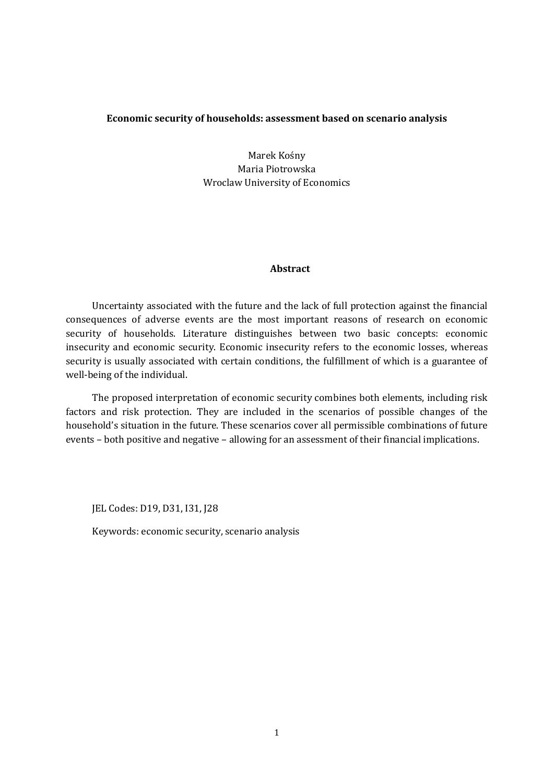# **Economic security of households: assessment based on scenario analysis**

Marek Kośny Maria Piotrowska Wroclaw University of Economics

## **Abstract**

Uncertainty associated with the future and the lack of full protection against the financial consequences of adverse events are the most important reasons of research on economic security of households. Literature distinguishes between two basic concepts: economic insecurity and economic security. Economic insecurity refers to the economic losses, whereas security is usually associated with certain conditions, the fulfillment of which is a guarantee of well-being of the individual.

The proposed interpretation of economic security combines both elements, including risk factors and risk protection. They are included in the scenarios of possible changes of the household's situation in the future. These scenarios cover all permissible combinations of future events – both positive and negative – allowing for an assessment of their financial implications.

JEL Codes: D19, D31, I31, J28

Keywords: economic security, scenario analysis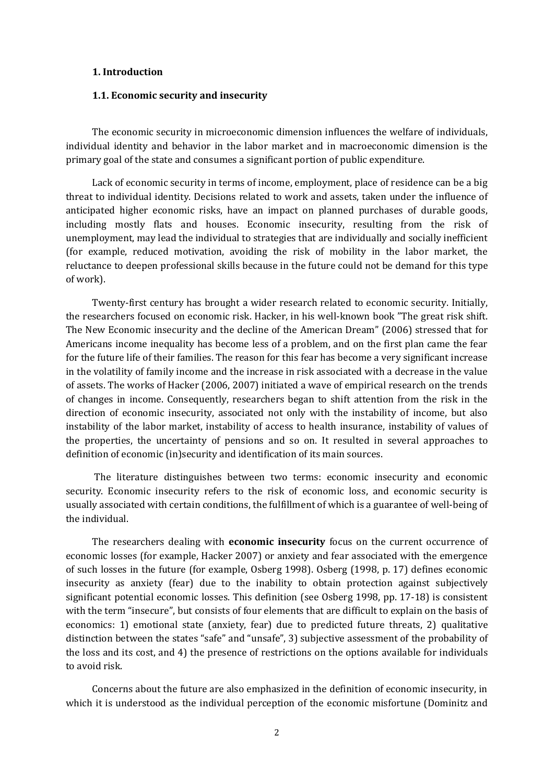#### **1. Introduction**

#### **1.1. Economic security and insecurity**

The economic security in microeconomic dimension influences the welfare of individuals, individual identity and behavior in the labor market and in macroeconomic dimension is the primary goal of the state and consumes a significant portion of public expenditure.

Lack of economic security in terms of income, employment, place of residence can be a big threat to individual identity. Decisions related to work and assets, taken under the influence of anticipated higher economic risks, have an impact on planned purchases of durable goods, including mostly flats and houses. Economic insecurity, resulting from the risk of unemployment, may lead the individual to strategies that are individually and socially inefficient (for example, reduced motivation, avoiding the risk of mobility in the labor market, the reluctance to deepen professional skills because in the future could not be demand for this type of work).

Twenty-first century has brought a wider research related to economic security. Initially, the researchers focused on economic risk. Hacker, in his well-known book "The great risk shift. The New Economic insecurity and the decline of the American Dream" (2006) stressed that for Americans income inequality has become less of a problem, and on the first plan came the fear for the future life of their families. The reason for this fear has become a very significant increase in the volatility of family income and the increase in risk associated with a decrease in the value of assets. The works of Hacker (2006, 2007) initiated a wave of empirical research on the trends of changes in income. Consequently, researchers began to shift attention from the risk in the direction of economic insecurity, associated not only with the instability of income, but also instability of the labor market, instability of access to health insurance, instability of values of the properties, the uncertainty of pensions and so on. It resulted in several approaches to definition of economic (in)security and identification of its main sources.

The literature distinguishes between two terms: economic insecurity and economic security. Economic insecurity refers to the risk of economic loss, and economic security is usually associated with certain conditions, the fulfillment of which is a guarantee of well-being of the individual.

The researchers dealing with **economic insecurity** focus on the current occurrence of economic losses (for example, Hacker 2007) or anxiety and fear associated with the emergence of such losses in the future (for example, Osberg 1998). Osberg (1998, p. 17) defines economic insecurity as anxiety (fear) due to the inability to obtain protection against subjectively significant potential economic losses. This definition (see Osberg 1998, pp. 17-18) is consistent with the term "insecure", but consists of four elements that are difficult to explain on the basis of economics: 1) emotional state (anxiety, fear) due to predicted future threats, 2) qualitative distinction between the states "safe" and "unsafe", 3) subjective assessment of the probability of the loss and its cost, and 4) the presence of restrictions on the options available for individuals to avoid risk.

Concerns about the future are also emphasized in the definition of economic insecurity, in which it is understood as the individual perception of the economic misfortune (Dominitz and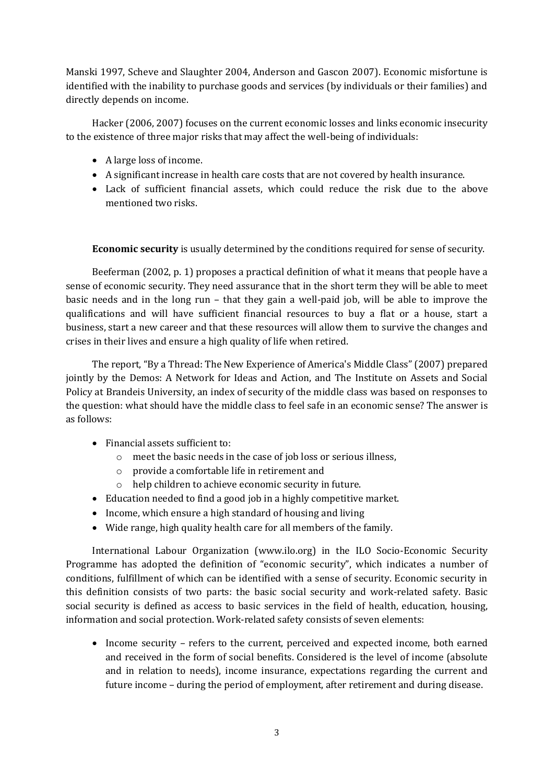Manski 1997, Scheve and Slaughter 2004, Anderson and Gascon 2007). Economic misfortune is identified with the inability to purchase goods and services (by individuals or their families) and directly depends on income.

Hacker (2006, 2007) focuses on the current economic losses and links economic insecurity to the existence of three major risks that may affect the well-being of individuals:

- A large loss of income.
- A significant increase in health care costs that are not covered by health insurance.
- Lack of sufficient financial assets, which could reduce the risk due to the above mentioned two risks.

**Economic security** is usually determined by the conditions required for sense of security.

Beeferman (2002, p. 1) proposes a practical definition of what it means that people have a sense of economic security. They need assurance that in the short term they will be able to meet basic needs and in the long run – that they gain a well-paid job, will be able to improve the qualifications and will have sufficient financial resources to buy a flat or a house, start a business, start a new career and that these resources will allow them to survive the changes and crises in their lives and ensure a high quality of life when retired.

The report, "By a Thread: The New Experience of America's Middle Class" (2007) prepared jointly by the Demos: A Network for Ideas and Action, and The Institute on Assets and Social Policy at Brandeis University, an index of security of the middle class was based on responses to the question: what should have the middle class to feel safe in an economic sense? The answer is as follows:

- Financial assets sufficient to:
	- o meet the basic needs in the case of job loss or serious illness,
	- o provide a comfortable life in retirement and
	- o help children to achieve economic security in future.
- Education needed to find a good job in a highly competitive market.
- Income, which ensure a high standard of housing and living
- Wide range, high quality health care for all members of the family.

International Labour Organization (www.ilo.org) in the ILO Socio-Economic Security Programme has adopted the definition of "economic security", which indicates a number of conditions, fulfillment of which can be identified with a sense of security. Economic security in this definition consists of two parts: the basic social security and work-related safety. Basic social security is defined as access to basic services in the field of health, education, housing, information and social protection. Work-related safety consists of seven elements:

 Income security – refers to the current, perceived and expected income, both earned and received in the form of social benefits. Considered is the level of income (absolute and in relation to needs), income insurance, expectations regarding the current and future income – during the period of employment, after retirement and during disease.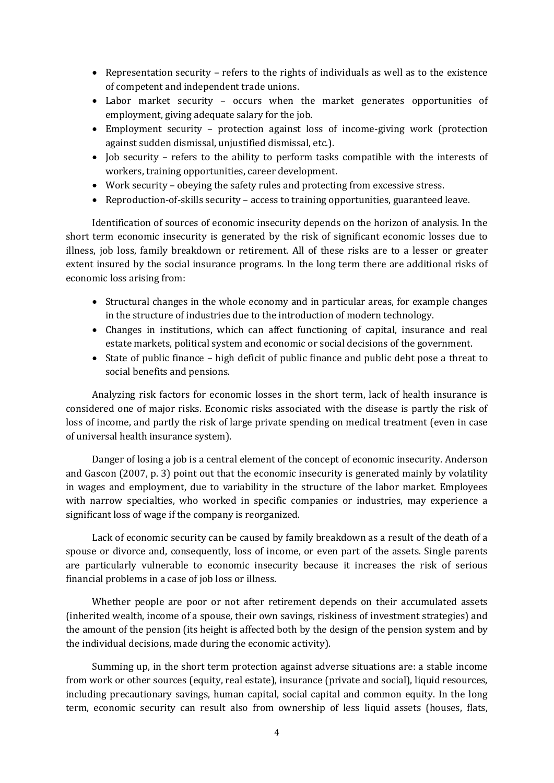- Representation security refers to the rights of individuals as well as to the existence of competent and independent trade unions.
- Labor market security occurs when the market generates opportunities of employment, giving adequate salary for the job.
- Employment security protection against loss of income-giving work (protection against sudden dismissal, unjustified dismissal, etc.).
- Job security refers to the ability to perform tasks compatible with the interests of workers, training opportunities, career development.
- Work security obeying the safety rules and protecting from excessive stress.
- Reproduction-of-skills security access to training opportunities, guaranteed leave.

Identification of sources of economic insecurity depends on the horizon of analysis. In the short term economic insecurity is generated by the risk of significant economic losses due to illness, job loss, family breakdown or retirement. All of these risks are to a lesser or greater extent insured by the social insurance programs. In the long term there are additional risks of economic loss arising from:

- Structural changes in the whole economy and in particular areas, for example changes in the structure of industries due to the introduction of modern technology.
- Changes in institutions, which can affect functioning of capital, insurance and real estate markets, political system and economic or social decisions of the government.
- State of public finance high deficit of public finance and public debt pose a threat to social benefits and pensions.

Analyzing risk factors for economic losses in the short term, lack of health insurance is considered one of major risks. Economic risks associated with the disease is partly the risk of loss of income, and partly the risk of large private spending on medical treatment (even in case of universal health insurance system).

Danger of losing a job is a central element of the concept of economic insecurity. Anderson and Gascon (2007, p. 3) point out that the economic insecurity is generated mainly by volatility in wages and employment, due to variability in the structure of the labor market. Employees with narrow specialties, who worked in specific companies or industries, may experience a significant loss of wage if the company is reorganized.

Lack of economic security can be caused by family breakdown as a result of the death of a spouse or divorce and, consequently, loss of income, or even part of the assets. Single parents are particularly vulnerable to economic insecurity because it increases the risk of serious financial problems in a case of job loss or illness.

Whether people are poor or not after retirement depends on their accumulated assets (inherited wealth, income of a spouse, their own savings, riskiness of investment strategies) and the amount of the pension (its height is affected both by the design of the pension system and by the individual decisions, made during the economic activity).

Summing up, in the short term protection against adverse situations are: a stable income from work or other sources (equity, real estate), insurance (private and social), liquid resources, including precautionary savings, human capital, social capital and common equity. In the long term, economic security can result also from ownership of less liquid assets (houses, flats,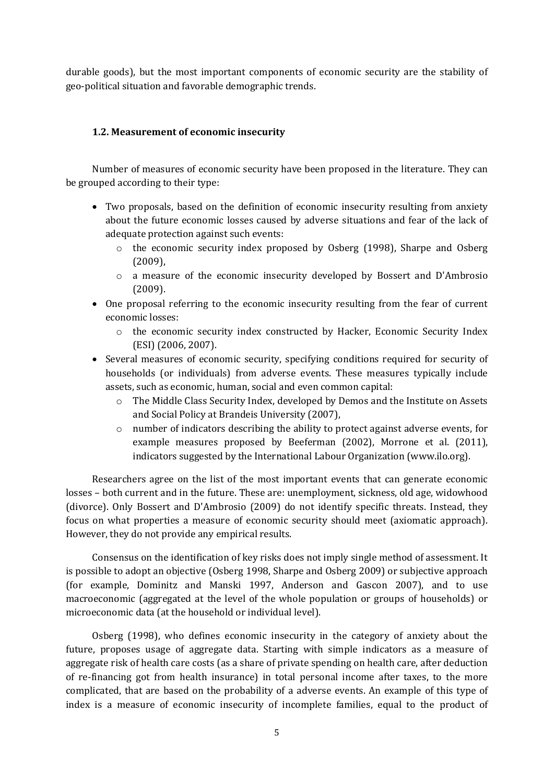durable goods), but the most important components of economic security are the stability of geo-political situation and favorable demographic trends.

# **1.2. Measurement of economic insecurity**

Number of measures of economic security have been proposed in the literature. They can be grouped according to their type:

- Two proposals, based on the definition of economic insecurity resulting from anxiety about the future economic losses caused by adverse situations and fear of the lack of adequate protection against such events:
	- o the economic security index proposed by Osberg (1998), Sharpe and Osberg (2009),
	- o a measure of the economic insecurity developed by Bossert and D'Ambrosio (2009).
- One proposal referring to the economic insecurity resulting from the fear of current economic losses:
	- o the economic security index constructed by Hacker, Economic Security Index (ESI) (2006, 2007).
- Several measures of economic security, specifying conditions required for security of households (or individuals) from adverse events. These measures typically include assets, such as economic, human, social and even common capital:
	- o The Middle Class Security Index, developed by Demos and the Institute on Assets and Social Policy at Brandeis University (2007),
	- o number of indicators describing the ability to protect against adverse events, for example measures proposed by Beeferman (2002), Morrone et al. (2011), indicators suggested by the International Labour Organization (www.ilo.org).

Researchers agree on the list of the most important events that can generate economic losses – both current and in the future. These are: unemployment, sickness, old age, widowhood (divorce). Only Bossert and D'Ambrosio (2009) do not identify specific threats. Instead, they focus on what properties a measure of economic security should meet (axiomatic approach). However, they do not provide any empirical results.

Consensus on the identification of key risks does not imply single method of assessment. It is possible to adopt an objective (Osberg 1998, Sharpe and Osberg 2009) or subjective approach (for example, Dominitz and Manski 1997, Anderson and Gascon 2007), and to use macroeconomic (aggregated at the level of the whole population or groups of households) or microeconomic data (at the household or individual level).

Osberg (1998), who defines economic insecurity in the category of anxiety about the future, proposes usage of aggregate data. Starting with simple indicators as a measure of aggregate risk of health care costs (as a share of private spending on health care, after deduction of re-financing got from health insurance) in total personal income after taxes, to the more complicated, that are based on the probability of a adverse events. An example of this type of index is a measure of economic insecurity of incomplete families, equal to the product of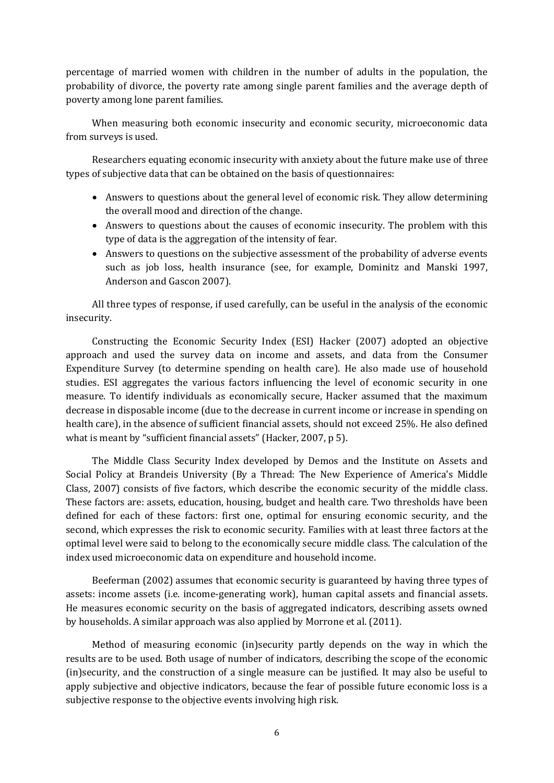percentage of married women with children in the number of adults in the population, the probability of divorce, the poverty rate among single parent families and the average depth of poverty among lone parent families.

When measuring both economic insecurity and economic security, microeconomic data from surveys is used.

Researchers equating economic insecurity with anxiety about the future make use of three types of subjective data that can be obtained on the basis of questionnaires:

- Answers to questions about the general level of economic risk. They allow determining the overall mood and direction of the change.
- Answers to questions about the causes of economic insecurity. The problem with this type of data is the aggregation of the intensity of fear.
- Answers to questions on the subjective assessment of the probability of adverse events such as job loss, health insurance (see, for example, Dominitz and Manski 1997, Anderson and Gascon 2007).

All three types of response, if used carefully, can be useful in the analysis of the economic insecurity.

Constructing the Economic Security Index (ESI) Hacker (2007) adopted an objective approach and used the survey data on income and assets, and data from the Consumer Expenditure Survey (to determine spending on health care). He also made use of household studies. ESI aggregates the various factors influencing the level of economic security in one measure. To identify individuals as economically secure, Hacker assumed that the maximum decrease in disposable income (due to the decrease in current income or increase in spending on health care), in the absence of sufficient financial assets, should not exceed 25%. He also defined what is meant by "sufficient financial assets" (Hacker, 2007, p 5).

The Middle Class Security Index developed by Demos and the Institute on Assets and Social Policy at Brandeis University (By a Thread: The New Experience of America's Middle Class, 2007) consists of five factors, which describe the economic security of the middle class. These factors are: assets, education, housing, budget and health care. Two thresholds have been defined for each of these factors: first one, optimal for ensuring economic security, and the second, which expresses the risk to economic security. Families with at least three factors at the optimal level were said to belong to the economically secure middle class. The calculation of the index used microeconomic data on expenditure and household income.

Beeferman (2002) assumes that economic security is guaranteed by having three types of assets: income assets (i.e. income-generating work), human capital assets and financial assets. He measures economic security on the basis of aggregated indicators, describing assets owned by households. A similar approach was also applied by Morrone et al. (2011).

Method of measuring economic (in)security partly depends on the way in which the results are to be used. Both usage of number of indicators, describing the scope of the economic (in)security, and the construction of a single measure can be justified. It may also be useful to apply subjective and objective indicators, because the fear of possible future economic loss is a subjective response to the objective events involving high risk.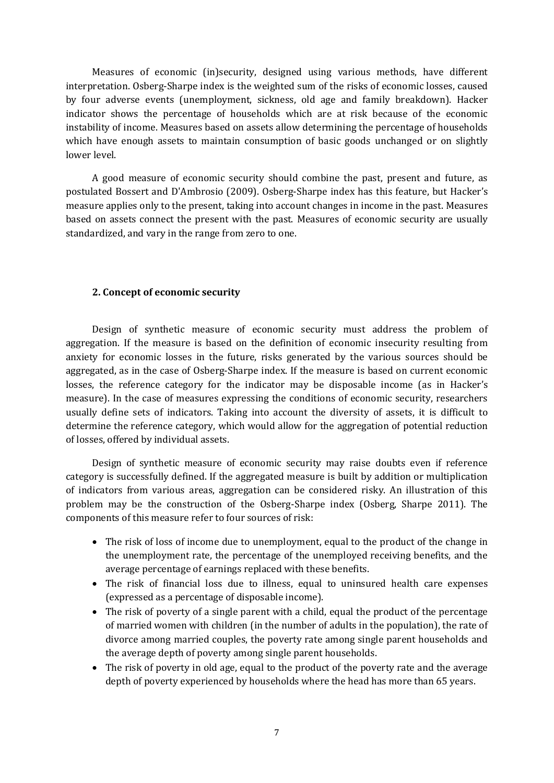Measures of economic (in)security, designed using various methods, have different interpretation. Osberg-Sharpe index is the weighted sum of the risks of economic losses, caused by four adverse events (unemployment, sickness, old age and family breakdown). Hacker indicator shows the percentage of households which are at risk because of the economic instability of income. Measures based on assets allow determining the percentage of households which have enough assets to maintain consumption of basic goods unchanged or on slightly lower level.

A good measure of economic security should combine the past, present and future, as postulated Bossert and D'Ambrosio (2009). Osberg-Sharpe index has this feature, but Hacker's measure applies only to the present, taking into account changes in income in the past. Measures based on assets connect the present with the past. Measures of economic security are usually standardized, and vary in the range from zero to one.

# **2. Concept of economic security**

Design of synthetic measure of economic security must address the problem of aggregation. If the measure is based on the definition of economic insecurity resulting from anxiety for economic losses in the future, risks generated by the various sources should be aggregated, as in the case of Osberg-Sharpe index. If the measure is based on current economic losses, the reference category for the indicator may be disposable income (as in Hacker's measure). In the case of measures expressing the conditions of economic security, researchers usually define sets of indicators. Taking into account the diversity of assets, it is difficult to determine the reference category, which would allow for the aggregation of potential reduction of losses, offered by individual assets.

Design of synthetic measure of economic security may raise doubts even if reference category is successfully defined. If the aggregated measure is built by addition or multiplication of indicators from various areas, aggregation can be considered risky. An illustration of this problem may be the construction of the Osberg-Sharpe index (Osberg, Sharpe 2011). The components of this measure refer to four sources of risk:

- The risk of loss of income due to unemployment, equal to the product of the change in the unemployment rate, the percentage of the unemployed receiving benefits, and the average percentage of earnings replaced with these benefits.
- The risk of financial loss due to illness, equal to uninsured health care expenses (expressed as a percentage of disposable income).
- The risk of poverty of a single parent with a child, equal the product of the percentage of married women with children (in the number of adults in the population), the rate of divorce among married couples, the poverty rate among single parent households and the average depth of poverty among single parent households.
- The risk of poverty in old age, equal to the product of the poverty rate and the average depth of poverty experienced by households where the head has more than 65 years.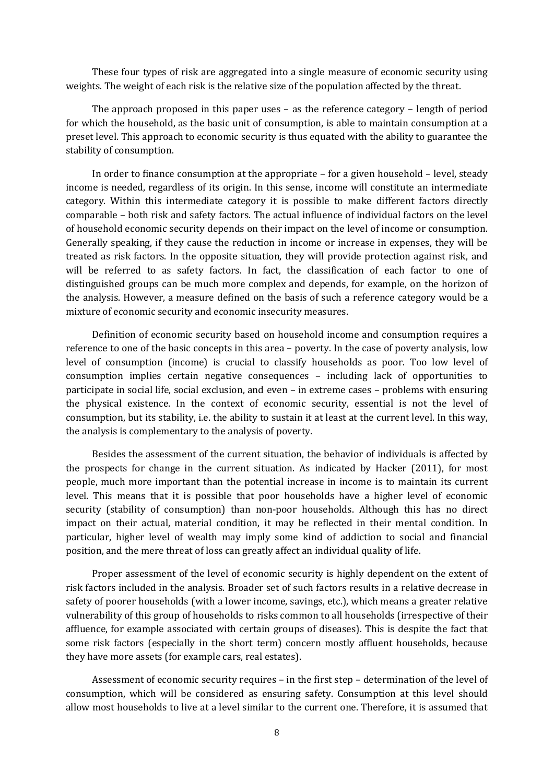These four types of risk are aggregated into a single measure of economic security using weights. The weight of each risk is the relative size of the population affected by the threat.

The approach proposed in this paper uses – as the reference category – length of period for which the household, as the basic unit of consumption, is able to maintain consumption at a preset level. This approach to economic security is thus equated with the ability to guarantee the stability of consumption.

In order to finance consumption at the appropriate – for a given household – level, steady income is needed, regardless of its origin. In this sense, income will constitute an intermediate category. Within this intermediate category it is possible to make different factors directly comparable – both risk and safety factors. The actual influence of individual factors on the level of household economic security depends on their impact on the level of income or consumption. Generally speaking, if they cause the reduction in income or increase in expenses, they will be treated as risk factors. In the opposite situation, they will provide protection against risk, and will be referred to as safety factors. In fact, the classification of each factor to one of distinguished groups can be much more complex and depends, for example, on the horizon of the analysis. However, a measure defined on the basis of such a reference category would be a mixture of economic security and economic insecurity measures.

Definition of economic security based on household income and consumption requires a reference to one of the basic concepts in this area – poverty. In the case of poverty analysis, low level of consumption (income) is crucial to classify households as poor. Too low level of consumption implies certain negative consequences – including lack of opportunities to participate in social life, social exclusion, and even – in extreme cases – problems with ensuring the physical existence. In the context of economic security, essential is not the level of consumption, but its stability, i.e. the ability to sustain it at least at the current level. In this way, the analysis is complementary to the analysis of poverty.

Besides the assessment of the current situation, the behavior of individuals is affected by the prospects for change in the current situation. As indicated by Hacker (2011), for most people, much more important than the potential increase in income is to maintain its current level. This means that it is possible that poor households have a higher level of economic security (stability of consumption) than non-poor households. Although this has no direct impact on their actual, material condition, it may be reflected in their mental condition. In particular, higher level of wealth may imply some kind of addiction to social and financial position, and the mere threat of loss can greatly affect an individual quality of life.

Proper assessment of the level of economic security is highly dependent on the extent of risk factors included in the analysis. Broader set of such factors results in a relative decrease in safety of poorer households (with a lower income, savings, etc.), which means a greater relative vulnerability of this group of households to risks common to all households (irrespective of their affluence, for example associated with certain groups of diseases). This is despite the fact that some risk factors (especially in the short term) concern mostly affluent households, because they have more assets (for example cars, real estates).

Assessment of economic security requires – in the first step – determination of the level of consumption, which will be considered as ensuring safety. Consumption at this level should allow most households to live at a level similar to the current one. Therefore, it is assumed that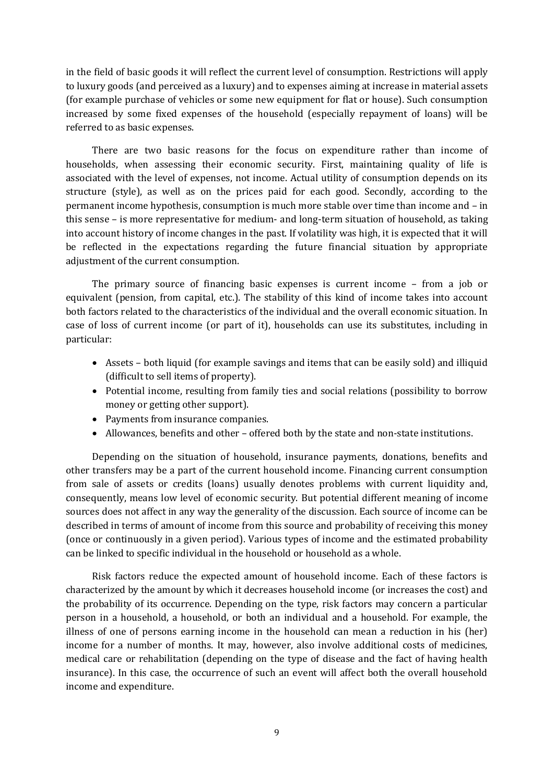in the field of basic goods it will reflect the current level of consumption. Restrictions will apply to luxury goods (and perceived as a luxury) and to expenses aiming at increase in material assets (for example purchase of vehicles or some new equipment for flat or house). Such consumption increased by some fixed expenses of the household (especially repayment of loans) will be referred to as basic expenses.

There are two basic reasons for the focus on expenditure rather than income of households, when assessing their economic security. First, maintaining quality of life is associated with the level of expenses, not income. Actual utility of consumption depends on its structure (style), as well as on the prices paid for each good. Secondly, according to the permanent income hypothesis, consumption is much more stable over time than income and – in this sense – is more representative for medium- and long-term situation of household, as taking into account history of income changes in the past. If volatility was high, it is expected that it will be reflected in the expectations regarding the future financial situation by appropriate adjustment of the current consumption.

The primary source of financing basic expenses is current income – from a job or equivalent (pension, from capital, etc.). The stability of this kind of income takes into account both factors related to the characteristics of the individual and the overall economic situation. In case of loss of current income (or part of it), households can use its substitutes, including in particular:

- Assets both liquid (for example savings and items that can be easily sold) and illiquid (difficult to sell items of property).
- Potential income, resulting from family ties and social relations (possibility to borrow money or getting other support).
- Payments from insurance companies.
- Allowances, benefits and other offered both by the state and non-state institutions.

Depending on the situation of household, insurance payments, donations, benefits and other transfers may be a part of the current household income. Financing current consumption from sale of assets or credits (loans) usually denotes problems with current liquidity and, consequently, means low level of economic security. But potential different meaning of income sources does not affect in any way the generality of the discussion. Each source of income can be described in terms of amount of income from this source and probability of receiving this money (once or continuously in a given period). Various types of income and the estimated probability can be linked to specific individual in the household or household as a whole.

Risk factors reduce the expected amount of household income. Each of these factors is characterized by the amount by which it decreases household income (or increases the cost) and the probability of its occurrence. Depending on the type, risk factors may concern a particular person in a household, a household, or both an individual and a household. For example, the illness of one of persons earning income in the household can mean a reduction in his (her) income for a number of months. It may, however, also involve additional costs of medicines, medical care or rehabilitation (depending on the type of disease and the fact of having health insurance). In this case, the occurrence of such an event will affect both the overall household income and expenditure.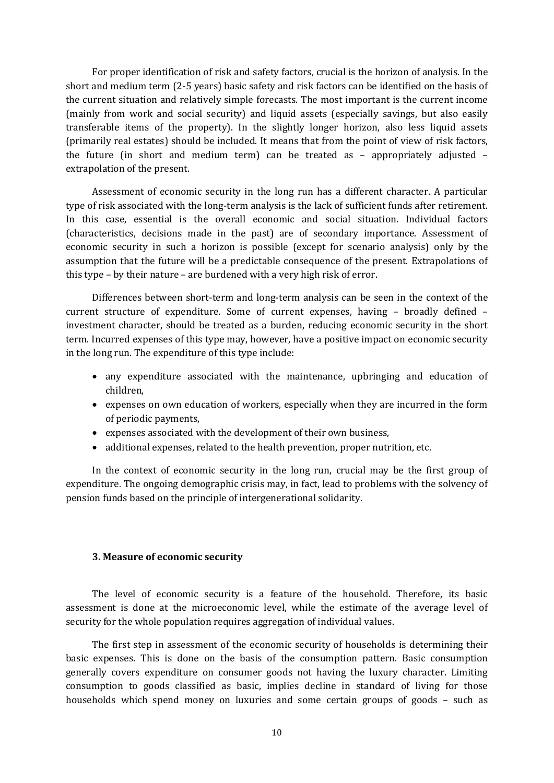For proper identification of risk and safety factors, crucial is the horizon of analysis. In the short and medium term (2-5 years) basic safety and risk factors can be identified on the basis of the current situation and relatively simple forecasts. The most important is the current income (mainly from work and social security) and liquid assets (especially savings, but also easily transferable items of the property). In the slightly longer horizon, also less liquid assets (primarily real estates) should be included. It means that from the point of view of risk factors, the future (in short and medium term) can be treated as – appropriately adjusted – extrapolation of the present.

Assessment of economic security in the long run has a different character. A particular type of risk associated with the long-term analysis is the lack of sufficient funds after retirement. In this case, essential is the overall economic and social situation. Individual factors (characteristics, decisions made in the past) are of secondary importance. Assessment of economic security in such a horizon is possible (except for scenario analysis) only by the assumption that the future will be a predictable consequence of the present. Extrapolations of this type – by their nature – are burdened with a very high risk of error.

Differences between short-term and long-term analysis can be seen in the context of the current structure of expenditure. Some of current expenses, having – broadly defined – investment character, should be treated as a burden, reducing economic security in the short term. Incurred expenses of this type may, however, have a positive impact on economic security in the long run. The expenditure of this type include:

- any expenditure associated with the maintenance, upbringing and education of children,
- expenses on own education of workers, especially when they are incurred in the form of periodic payments,
- expenses associated with the development of their own business,
- additional expenses, related to the health prevention, proper nutrition, etc.

In the context of economic security in the long run, crucial may be the first group of expenditure. The ongoing demographic crisis may, in fact, lead to problems with the solvency of pension funds based on the principle of intergenerational solidarity.

## **3. Measure of economic security**

The level of economic security is a feature of the household. Therefore, its basic assessment is done at the microeconomic level, while the estimate of the average level of security for the whole population requires aggregation of individual values.

The first step in assessment of the economic security of households is determining their basic expenses. This is done on the basis of the consumption pattern. Basic consumption generally covers expenditure on consumer goods not having the luxury character. Limiting consumption to goods classified as basic, implies decline in standard of living for those households which spend money on luxuries and some certain groups of goods – such as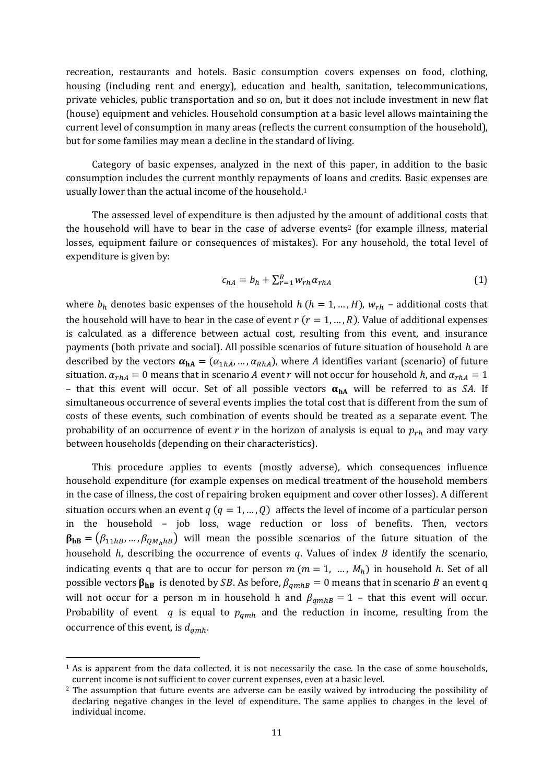recreation, restaurants and hotels. Basic consumption covers expenses on food, clothing, housing (including rent and energy), education and health, sanitation, telecommunications, private vehicles, public transportation and so on, but it does not include investment in new flat (house) equipment and vehicles. Household consumption at a basic level allows maintaining the current level of consumption in many areas (reflects the current consumption of the household), but for some families may mean a decline in the standard of living.

Category of basic expenses, analyzed in the next of this paper, in addition to the basic consumption includes the current monthly repayments of loans and credits. Basic expenses are usually lower than the actual income of the household. 1

The assessed level of expenditure is then adjusted by the amount of additional costs that the household will have to bear in the case of adverse events<sup>2</sup> (for example illness, material losses, equipment failure or consequences of mistakes). For any household, the total level of expenditure is given by:

$$
c_{hA} = b_h + \sum_{r=1}^{R} w_{rh} \alpha_{rhA} \tag{1}
$$

where  $b_h$  denotes basic expenses of the household  $h$  ( $h = 1, ..., H$ ),  $w_{rh}$  – additional costs that the household will have to bear in the case of event  $r$  ( $r = 1, ..., R$ ). Value of additional expenses is calculated as a difference between actual cost, resulting from this event, and insurance payments (both private and social). All possible scenarios of future situation of household h are described by the vectors  $\boldsymbol{\alpha}_{hA} = (\alpha_{1hA}, ..., \alpha_{RhA})$ , where A identifies variant (scenario) of future situation.  $\alpha_{rhA} = 0$  means that in scenario A event r will not occur for household h, and  $\alpha_{rhA} = 1$ – that this event will occur. Set of all possible vectors  $\alpha_{hA}$  will be referred to as SA. If simultaneous occurrence of several events implies the total cost that is different from the sum of costs of these events, such combination of events should be treated as a separate event. The probability of an occurrence of event r in the horizon of analysis is equal to  $p_{rh}$  and may vary between households (depending on their characteristics).

This procedure applies to events (mostly adverse), which consequences influence household expenditure (for example expenses on medical treatment of the household members in the case of illness, the cost of repairing broken equipment and cover other losses). A different situation occurs when an event  $q$  ( $q = 1, ..., Q$ ) affects the level of income of a particular person in the household – job loss, wage reduction or loss of benefits. Then, vectors  $\beta_{hB} = (\beta_{11hB}, ..., \beta_{QM_hhB})$  will mean the possible scenarios of the future situation of the household  $h$ , describing the occurrence of events  $q$ . Values of index  $B$  identify the scenario, indicating events q that are to occur for person  $m ( m = 1, ..., M_h)$  in household h. Set of all possible vectors  $\beta_{hB}$  is denoted by SB. As before,  $\beta_{qmhB} = 0$  means that in scenario B an event q will not occur for a person m in household h and  $\beta_{amh} = 1$  – that this event will occur. Probability of event q is equal to  $p_{amh}$  and the reduction in income, resulting from the occurrence of this event, is  $d_{amh}$ .

**.** 

 $<sup>1</sup>$  As is apparent from the data collected, it is not necessarily the case. In the case of some households,</sup> current income is not sufficient to cover current expenses, even at a basic level.

<sup>2</sup> The assumption that future events are adverse can be easily waived by introducing the possibility of declaring negative changes in the level of expenditure. The same applies to changes in the level of individual income.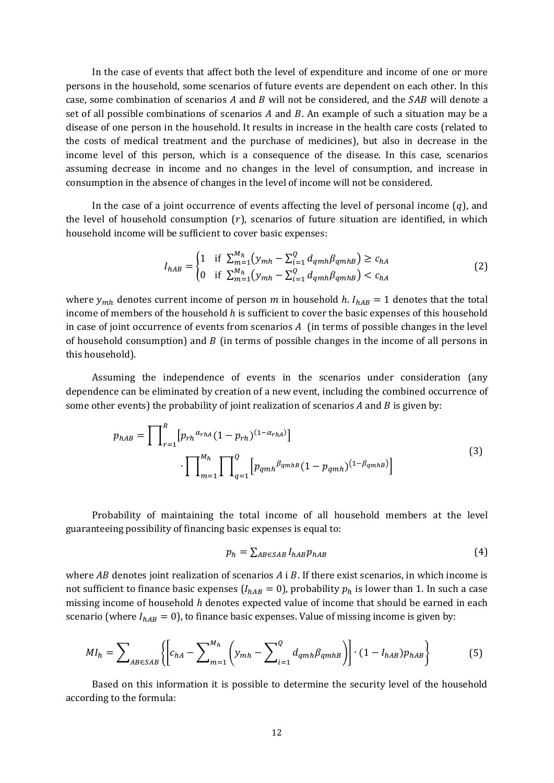In the case of events that affect both the level of expenditure and income of one or more persons in the household, some scenarios of future events are dependent on each other. In this case, some combination of scenarios A and B will not be considered, and the  $SAB$  will denote a set of all possible combinations of scenarios  $A$  and  $B$ . An example of such a situation may be a disease of one person in the household. It results in increase in the health care costs (related to the costs of medical treatment and the purchase of medicines), but also in decrease in the income level of this person, which is a consequence of the disease. In this case, scenarios assuming decrease in income and no changes in the level of consumption, and increase in consumption in the absence of changes in the level of income will not be considered.

In the case of a joint occurrence of events affecting the level of personal income  $(q)$ , and the level of household consumption  $(r)$ , scenarios of future situation are identified, in which household income will be sufficient to cover basic expenses:

$$
I_{hAB} = \begin{cases} 1 & \text{if } \sum_{m=1}^{M_h} (y_{mh} - \sum_{i=1}^{Q} d_{qmh} \beta_{qmh} ) \ge c_{hA} \\ 0 & \text{if } \sum_{m=1}^{M_h} (y_{mh} - \sum_{i=1}^{Q} d_{qmh} \beta_{qmh} ) < c_{hA} \end{cases}
$$
(2)

where  $y_{mh}$  denotes current income of person m in household h.  $I_{hAB} = 1$  denotes that the total income of members of the household  $h$  is sufficient to cover the basic expenses of this household in case of joint occurrence of events from scenarios  $A$  (in terms of possible changes in the level of household consumption) and  $\overline{B}$  (in terms of possible changes in the income of all persons in this household).

Assuming the independence of events in the scenarios under consideration (any dependence can be eliminated by creation of a new event, including the combined occurrence of some other events) the probability of joint realization of scenarios A and B is given by:

$$
p_{hAB} = \prod_{r=1}^{R} \left[ p_{rh}^{\alpha_{rhA}} (1 - p_{rh})^{(1 - \alpha_{rhA})} \right]
$$

$$
\cdot \prod_{m=1}^{M_h} \prod_{q=1}^{Q} \left[ p_{qmh}^{\beta_{qmhB}} (1 - p_{qmh})^{(1 - \beta_{qmhB})} \right]
$$
(3)

Probability of maintaining the total income of all household members at the level guaranteeing possibility of financing basic expenses is equal to:

$$
p_h = \sum_{AB \in SAB} I_{hAB} p_{hAB} \tag{4}
$$

where  $AB$  denotes joint realization of scenarios  $A$  i  $B$ . If there exist scenarios, in which income is not sufficient to finance basic expenses  $(I_{hAB} = 0)$ , probability  $p_h$  is lower than 1. In such a case missing income of household *h* denotes expected value of income that should be earned in each scenario (where  $I_{hAB} = 0$ ), to finance basic expenses. Value of missing income is given by:

$$
MI_h = \sum_{AB \in SAB} \left\{ \left[ c_{hA} - \sum_{m=1}^{M_h} \left( y_{mh} - \sum_{i=1}^Q d_{qmh} \beta_{qmh} \right) \right] \cdot (1 - I_{hAB}) p_{hAB} \right\} \tag{5}
$$

Based on this information it is possible to determine the security level of the household according to the formula: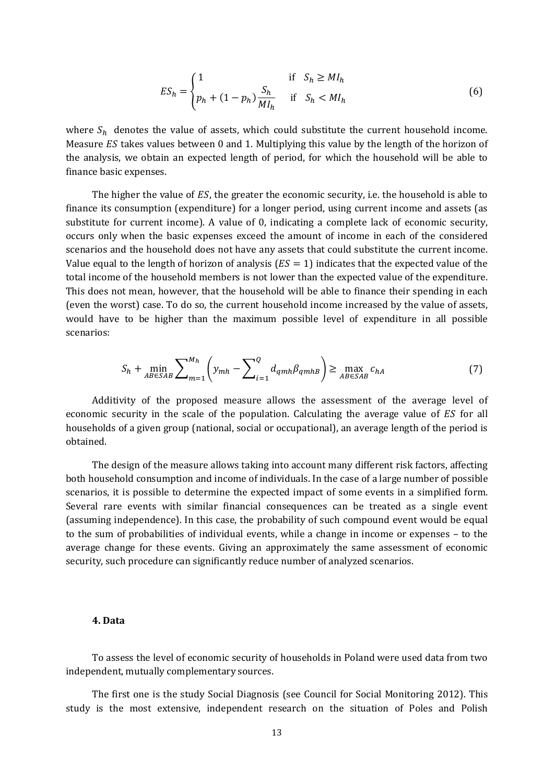$$
ES_h = \begin{cases} 1 & \text{if } S_h \geq M I_h \\ p_h + (1 - p_h) \frac{S_h}{M I_h} & \text{if } S_h < M I_h \end{cases} \tag{6}
$$

where  $S_h$  denotes the value of assets, which could substitute the current household income. Measure  $ES$  takes values between 0 and 1. Multiplying this value by the length of the horizon of the analysis, we obtain an expected length of period, for which the household will be able to finance basic expenses.

The higher the value of  $ES$ , the greater the economic security, i.e. the household is able to finance its consumption (expenditure) for a longer period, using current income and assets (as substitute for current income). A value of 0, indicating a complete lack of economic security, occurs only when the basic expenses exceed the amount of income in each of the considered scenarios and the household does not have any assets that could substitute the current income. Value equal to the length of horizon of analysis ( $ES = 1$ ) indicates that the expected value of the total income of the household members is not lower than the expected value of the expenditure. This does not mean, however, that the household will be able to finance their spending in each (even the worst) case. To do so, the current household income increased by the value of assets, would have to be higher than the maximum possible level of expenditure in all possible scenarios:

$$
S_h + \min_{AB \in SAB} \sum_{m=1}^{M_h} \left( y_{mh} - \sum_{i=1}^Q d_{qmh} \beta_{qmh} \right) \ge \max_{AB \in SAB} c_{hA} \tag{7}
$$

Additivity of the proposed measure allows the assessment of the average level of economic security in the scale of the population. Calculating the average value of  $ES$  for all households of a given group (national, social or occupational), an average length of the period is obtained.

The design of the measure allows taking into account many different risk factors, affecting both household consumption and income of individuals. In the case of a large number of possible scenarios, it is possible to determine the expected impact of some events in a simplified form. Several rare events with similar financial consequences can be treated as a single event (assuming independence). In this case, the probability of such compound event would be equal to the sum of probabilities of individual events, while a change in income or expenses – to the average change for these events. Giving an approximately the same assessment of economic security, such procedure can significantly reduce number of analyzed scenarios.

#### **4. Data**

To assess the level of economic security of households in Poland were used data from two independent, mutually complementary sources.

The first one is the study Social Diagnosis (see Council for Social Monitoring 2012). This study is the most extensive, independent research on the situation of Poles and Polish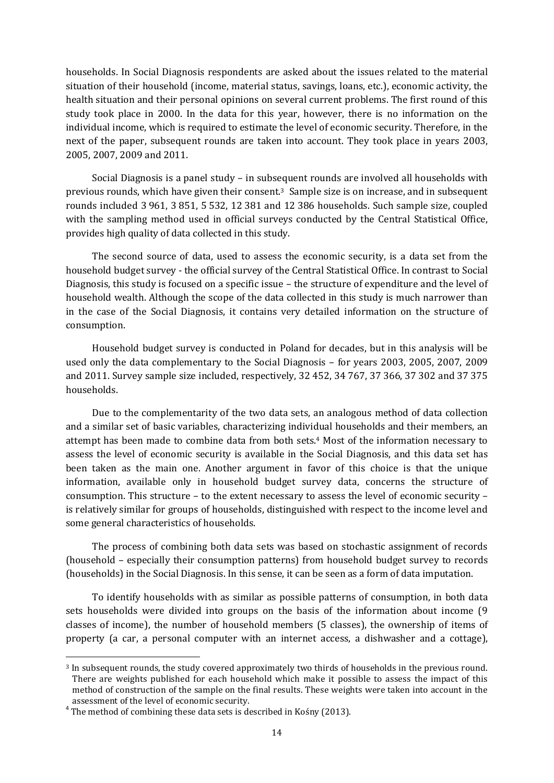households. In Social Diagnosis respondents are asked about the issues related to the material situation of their household (income, material status, savings, loans, etc.), economic activity, the health situation and their personal opinions on several current problems. The first round of this study took place in 2000. In the data for this year, however, there is no information on the individual income, which is required to estimate the level of economic security. Therefore, in the next of the paper, subsequent rounds are taken into account. They took place in years 2003, 2005, 2007, 2009 and 2011.

Social Diagnosis is a panel study – in subsequent rounds are involved all households with previous rounds, which have given their consent.3 Sample size is on increase, and in subsequent rounds included 3 961, 3 851, 5 532, 12 381 and 12 386 households. Such sample size, coupled with the sampling method used in official surveys conducted by the Central Statistical Office, provides high quality of data collected in this study.

The second source of data, used to assess the economic security, is a data set from the household budget survey - the official survey of the Central Statistical Office. In contrast to Social Diagnosis, this study is focused on a specific issue – the structure of expenditure and the level of household wealth. Although the scope of the data collected in this study is much narrower than in the case of the Social Diagnosis, it contains very detailed information on the structure of consumption.

Household budget survey is conducted in Poland for decades, but in this analysis will be used only the data complementary to the Social Diagnosis – for years 2003, 2005, 2007, 2009 and 2011. Survey sample size included, respectively, 32 452, 34 767, 37 366, 37 302 and 37 375 households.

Due to the complementarity of the two data sets, an analogous method of data collection and a similar set of basic variables, characterizing individual households and their members, an attempt has been made to combine data from both sets. <sup>4</sup> Most of the information necessary to assess the level of economic security is available in the Social Diagnosis, and this data set has been taken as the main one. Another argument in favor of this choice is that the unique information, available only in household budget survey data, concerns the structure of consumption. This structure – to the extent necessary to assess the level of economic security – is relatively similar for groups of households, distinguished with respect to the income level and some general characteristics of households.

The process of combining both data sets was based on stochastic assignment of records (household – especially their consumption patterns) from household budget survey to records (households) in the Social Diagnosis. In this sense, it can be seen as a form of data imputation.

To identify households with as similar as possible patterns of consumption, in both data sets households were divided into groups on the basis of the information about income (9 classes of income), the number of household members (5 classes), the ownership of items of property (a car, a personal computer with an internet access, a dishwasher and a cottage),

**.** 

<sup>3</sup> In subsequent rounds, the study covered approximately two thirds of households in the previous round. There are weights published for each household which make it possible to assess the impact of this method of construction of the sample on the final results. These weights were taken into account in the assessment of the level of economic security.

<sup>&</sup>lt;sup>4</sup> The method of combining these data sets is described in Kośny (2013).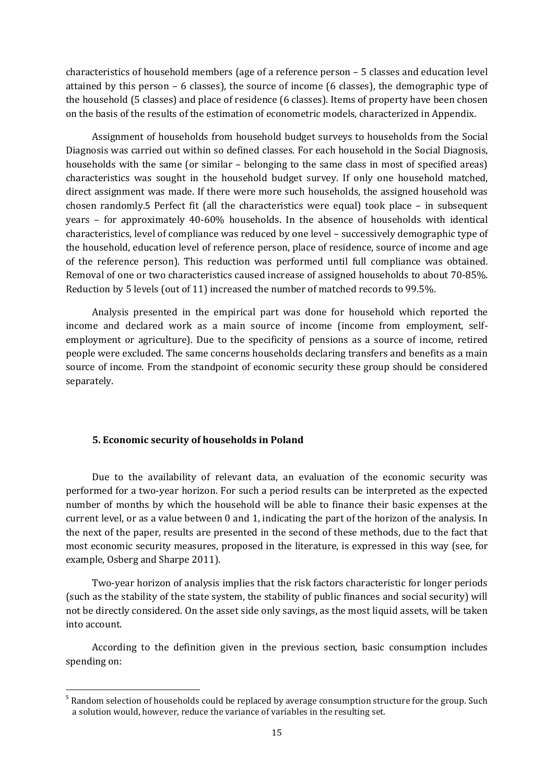characteristics of household members (age of a reference person – 5 classes and education level attained by this person – 6 classes), the source of income (6 classes), the demographic type of the household (5 classes) and place of residence (6 classes). Items of property have been chosen on the basis of the results of the estimation of econometric models, characterized in Appendix.

Assignment of households from household budget surveys to households from the Social Diagnosis was carried out within so defined classes. For each household in the Social Diagnosis, households with the same (or similar – belonging to the same class in most of specified areas) characteristics was sought in the household budget survey. If only one household matched, direct assignment was made. If there were more such households, the assigned household was chosen randomly.5 Perfect fit (all the characteristics were equal) took place – in subsequent years – for approximately 40-60% households. In the absence of households with identical characteristics, level of compliance was reduced by one level – successively demographic type of the household, education level of reference person, place of residence, source of income and age of the reference person). This reduction was performed until full compliance was obtained. Removal of one or two characteristics caused increase of assigned households to about 70-85%. Reduction by 5 levels (out of 11) increased the number of matched records to 99.5%.

Analysis presented in the empirical part was done for household which reported the income and declared work as a main source of income (income from employment, selfemployment or agriculture). Due to the specificity of pensions as a source of income, retired people were excluded. The same concerns households declaring transfers and benefits as a main source of income. From the standpoint of economic security these group should be considered separately.

# **5. Economic security of households in Poland**

 $\overline{a}$ 

Due to the availability of relevant data, an evaluation of the economic security was performed for a two-year horizon. For such a period results can be interpreted as the expected number of months by which the household will be able to finance their basic expenses at the current level, or as a value between 0 and 1, indicating the part of the horizon of the analysis. In the next of the paper, results are presented in the second of these methods, due to the fact that most economic security measures, proposed in the literature, is expressed in this way (see, for example, Osberg and Sharpe 2011).

Two-year horizon of analysis implies that the risk factors characteristic for longer periods (such as the stability of the state system, the stability of public finances and social security) will not be directly considered. On the asset side only savings, as the most liquid assets, will be taken into account.

According to the definition given in the previous section, basic consumption includes spending on:

<sup>&</sup>lt;sup>5</sup> Random selection of households could be replaced by average consumption structure for the group. Such a solution would, however, reduce the variance of variables in the resulting set.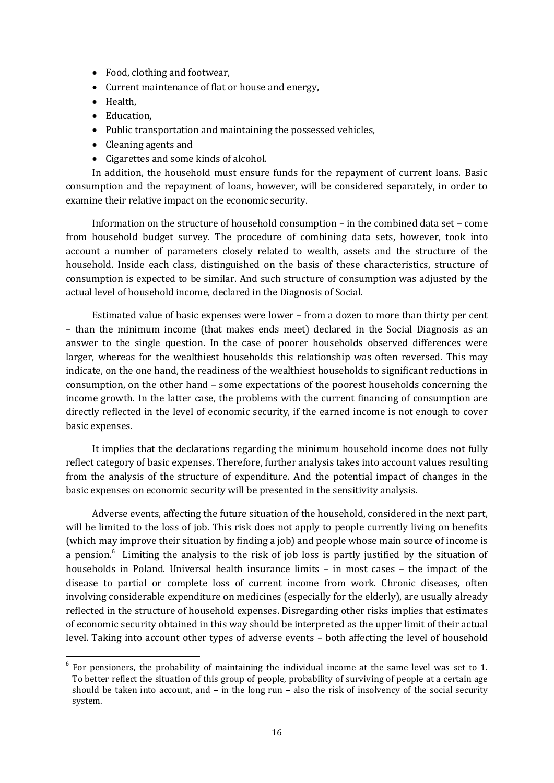- Food, clothing and footwear,
- Current maintenance of flat or house and energy,
- Health.

 $\overline{a}$ 

- Education,
- Public transportation and maintaining the possessed vehicles,
- Cleaning agents and
- Cigarettes and some kinds of alcohol.

In addition, the household must ensure funds for the repayment of current loans. Basic consumption and the repayment of loans, however, will be considered separately, in order to examine their relative impact on the economic security.

Information on the structure of household consumption – in the combined data set – come from household budget survey. The procedure of combining data sets, however, took into account a number of parameters closely related to wealth, assets and the structure of the household. Inside each class, distinguished on the basis of these characteristics, structure of consumption is expected to be similar. And such structure of consumption was adjusted by the actual level of household income, declared in the Diagnosis of Social.

Estimated value of basic expenses were lower – from a dozen to more than thirty per cent – than the minimum income (that makes ends meet) declared in the Social Diagnosis as an answer to the single question. In the case of poorer households observed differences were larger, whereas for the wealthiest households this relationship was often reversed. This may indicate, on the one hand, the readiness of the wealthiest households to significant reductions in consumption, on the other hand – some expectations of the poorest households concerning the income growth. In the latter case, the problems with the current financing of consumption are directly reflected in the level of economic security, if the earned income is not enough to cover basic expenses.

It implies that the declarations regarding the minimum household income does not fully reflect category of basic expenses. Therefore, further analysis takes into account values resulting from the analysis of the structure of expenditure. And the potential impact of changes in the basic expenses on economic security will be presented in the sensitivity analysis.

Adverse events, affecting the future situation of the household, considered in the next part, will be limited to the loss of job. This risk does not apply to people currently living on benefits (which may improve their situation by finding a job) and people whose main source of income is a pension.<sup>6</sup> Limiting the analysis to the risk of job loss is partly justified by the situation of households in Poland. Universal health insurance limits – in most cases – the impact of the disease to partial or complete loss of current income from work. Chronic diseases, often involving considerable expenditure on medicines (especially for the elderly), are usually already reflected in the structure of household expenses. Disregarding other risks implies that estimates of economic security obtained in this way should be interpreted as the upper limit of their actual level. Taking into account other types of adverse events – both affecting the level of household

 $6\,$  For pensioners, the probability of maintaining the individual income at the same level was set to 1. To better reflect the situation of this group of people, probability of surviving of people at a certain age should be taken into account, and – in the long run – also the risk of insolvency of the social security system.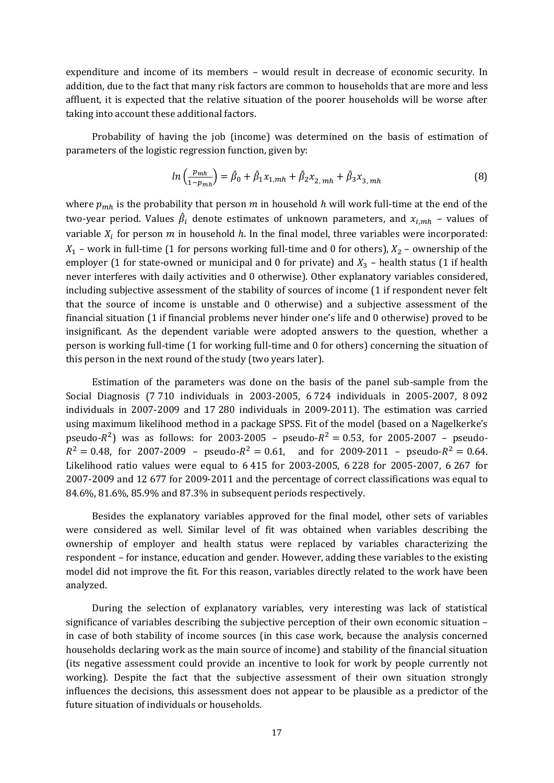expenditure and income of its members – would result in decrease of economic security. In addition, due to the fact that many risk factors are common to households that are more and less affluent, it is expected that the relative situation of the poorer households will be worse after taking into account these additional factors.

Probability of having the job (income) was determined on the basis of estimation of parameters of the logistic regression function, given by:

$$
ln\left(\frac{p_{mh}}{1-p_{mh}}\right) = \hat{\beta}_0 + \hat{\beta}_1 x_{1,mh} + \hat{\beta}_2 x_{2,mh} + \hat{\beta}_3 x_{3,mh}
$$
(8)

where  $p_{mh}$  is the probability that person m in household h will work full-time at the end of the two-year period. Values  $\hat{\beta_{i}}$  denote estimates of unknown parameters, and  $x_{i,mh}$  – values of variable  $X_i$  for person m in household h. In the final model, three variables were incorporated:  $X_1$  – work in full-time (1 for persons working full-time and 0 for others),  $X_2$  – ownership of the employer (1 for state-owned or municipal and 0 for private) and  $X_3$  – health status (1 if health never interferes with daily activities and 0 otherwise). Other explanatory variables considered, including subjective assessment of the stability of sources of income (1 if respondent never felt that the source of income is unstable and 0 otherwise) and a subjective assessment of the financial situation (1 if financial problems never hinder one's life and 0 otherwise) proved to be insignificant. As the dependent variable were adopted answers to the question, whether a person is working full-time (1 for working full-time and 0 for others) concerning the situation of this person in the next round of the study (two years later).

Estimation of the parameters was done on the basis of the panel sub-sample from the Social Diagnosis (7 710 individuals in 2003-2005, 6 724 individuals in 2005-2007, 8 092 individuals in 2007-2009 and 17 280 individuals in 2009-2011). The estimation was carried using maximum likelihood method in a package SPSS. Fit of the model (based on a Nagelkerke's pseudo- $R^2$ ) was as follows: for 2003-2005 – pseudo- $R^2 = 0.53$ , for 2005-2007 – pseudo- $R^2 = 0.48$ , for 2007-2009 – pseudo- $R^2 = 0.61$ , and for 2009-2011 – pseudo- $R^2 = 0.64$ . Likelihood ratio values were equal to 6 415 for 2003-2005, 6 228 for 2005-2007, 6 267 for 2007-2009 and 12 677 for 2009-2011 and the percentage of correct classifications was equal to 84.6%, 81.6%, 85.9% and 87.3% in subsequent periods respectively.

Besides the explanatory variables approved for the final model, other sets of variables were considered as well. Similar level of fit was obtained when variables describing the ownership of employer and health status were replaced by variables characterizing the respondent – for instance, education and gender. However, adding these variables to the existing model did not improve the fit. For this reason, variables directly related to the work have been analyzed.

During the selection of explanatory variables, very interesting was lack of statistical significance of variables describing the subjective perception of their own economic situation – in case of both stability of income sources (in this case work, because the analysis concerned households declaring work as the main source of income) and stability of the financial situation (its negative assessment could provide an incentive to look for work by people currently not working). Despite the fact that the subjective assessment of their own situation strongly influences the decisions, this assessment does not appear to be plausible as a predictor of the future situation of individuals or households.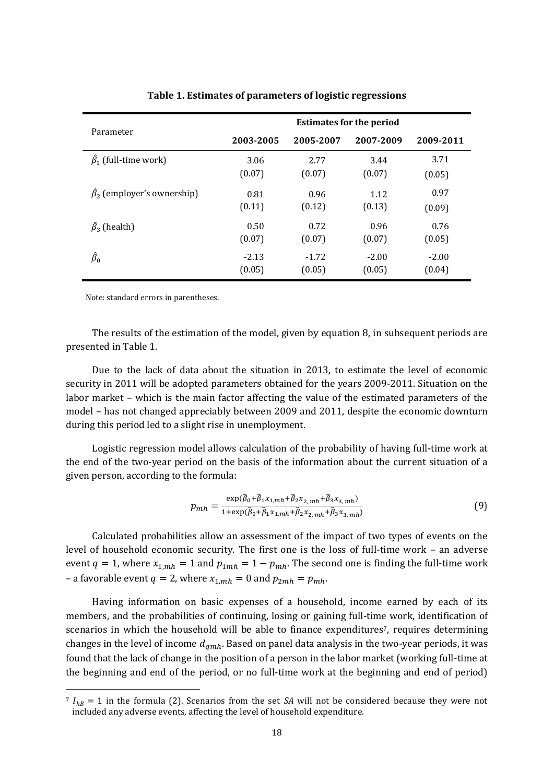| Parameter                              | <b>Estimates for the period</b> |           |           |           |  |
|----------------------------------------|---------------------------------|-----------|-----------|-----------|--|
|                                        | 2003-2005                       | 2005-2007 | 2007-2009 | 2009-2011 |  |
| $\hat{\beta}_1$ (full-time work)       | 3.06                            | 2.77      | 3.44      | 3.71      |  |
|                                        | (0.07)                          | (0.07)    | (0.07)    | (0.05)    |  |
| $\hat{\beta}_2$ (employer's ownership) | 0.81                            | 0.96      | 1.12      | 0.97      |  |
|                                        | (0.11)                          | (0.12)    | (0.13)    | (0.09)    |  |
| $\hat{\beta}_3$ (health)               | 0.50                            | 0.72      | 0.96      | 0.76      |  |
|                                        | (0.07)                          | (0.07)    | (0.07)    | (0.05)    |  |
| $\hat{\beta}_0$                        | $-2.13$                         | $-1.72$   | $-2.00$   | $-2.00$   |  |
|                                        | (0.05)                          | (0.05)    | (0.05)    | (0.04)    |  |

## **Table 1. Estimates of parameters of logistic regressions**

Note: standard errors in parentheses.

**.** 

The results of the estimation of the model, given by equation 8, in subsequent periods are presented in Table 1.

Due to the lack of data about the situation in 2013, to estimate the level of economic security in 2011 will be adopted parameters obtained for the years 2009-2011. Situation on the labor market – which is the main factor affecting the value of the estimated parameters of the model – has not changed appreciably between 2009 and 2011, despite the economic downturn during this period led to a slight rise in unemployment.

Logistic regression model allows calculation of the probability of having full-time work at the end of the two-year period on the basis of the information about the current situation of a given person, according to the formula:

$$
p_{mh} = \frac{\exp(\hat{\beta}_0 + \hat{\beta}_1 x_{1,mh} + \hat{\beta}_2 x_{2,mh} + \hat{\beta}_3 x_{3,mh})}{1 + \exp(\hat{\beta}_0 + \hat{\beta}_1 x_{1,mh} + \hat{\beta}_2 x_{2,mh} + \hat{\beta}_3 x_{3,mh})}
$$
(9)

Calculated probabilities allow an assessment of the impact of two types of events on the level of household economic security. The first one is the loss of full-time work – an adverse event  $q = 1$ , where  $x_{1,mh} = 1$  and  $p_{1mh} = 1 - p_{mh}$ . The second one is finding the full-time work – a favorable event  $q = 2$ , where  $x_{1,mh} = 0$  and  $p_{2mh} = p_{mh}$ .

Having information on basic expenses of a household, income earned by each of its members, and the probabilities of continuing, losing or gaining full-time work, identification of scenarios in which the household will be able to finance expenditures<sup>7</sup>, requires determining changes in the level of income  $d_{qmh}$ . Based on panel data analysis in the two-year periods, it was found that the lack of change in the position of a person in the labor market (working full-time at the beginning and end of the period, or no full-time work at the beginning and end of period)

 $7 I_{hB} = 1$  in the formula (2). Scenarios from the set *SA* will not be considered because they were not included any adverse events, affecting the level of household expenditure.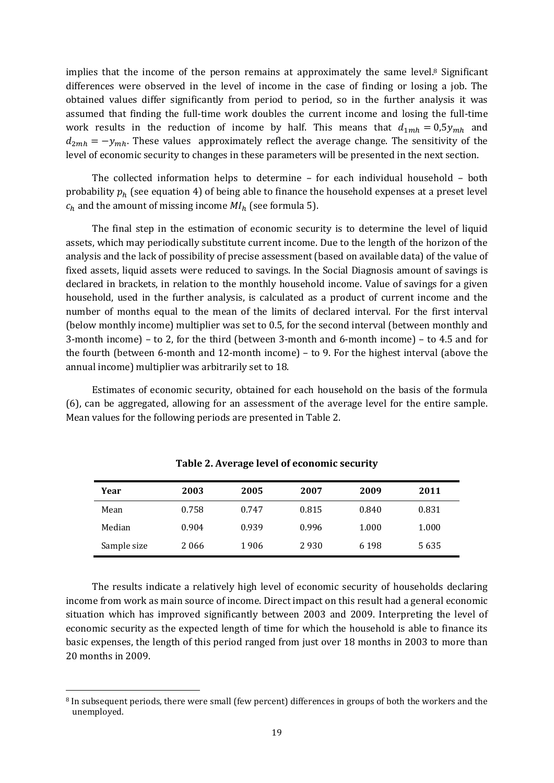implies that the income of the person remains at approximately the same level.<sup>8</sup> Significant differences were observed in the level of income in the case of finding or losing a job. The obtained values differ significantly from period to period, so in the further analysis it was assumed that finding the full-time work doubles the current income and losing the full-time work results in the reduction of income by half. This means that  $d_{1mh} = 0.5y_{mh}$  and  $d_{2mh} = -y_{mh}$ . These values approximately reflect the average change. The sensitivity of the level of economic security to changes in these parameters will be presented in the next section.

The collected information helps to determine – for each individual household – both probability  $p_h$  (see equation 4) of being able to finance the household expenses at a preset level  $c_h$  and the amount of missing income  $MI_h$  (see formula 5).

The final step in the estimation of economic security is to determine the level of liquid assets, which may periodically substitute current income. Due to the length of the horizon of the analysis and the lack of possibility of precise assessment (based on available data) of the value of fixed assets, liquid assets were reduced to savings. In the Social Diagnosis amount of savings is declared in brackets, in relation to the monthly household income. Value of savings for a given household, used in the further analysis, is calculated as a product of current income and the number of months equal to the mean of the limits of declared interval. For the first interval (below monthly income) multiplier was set to 0.5, for the second interval (between monthly and 3-month income) – to 2, for the third (between 3-month and 6-month income) – to 4.5 and for the fourth (between 6-month and 12-month income) – to 9. For the highest interval (above the annual income) multiplier was arbitrarily set to 18.

Estimates of economic security, obtained for each household on the basis of the formula (6), can be aggregated, allowing for an assessment of the average level for the entire sample. Mean values for the following periods are presented in Table 2.

| Year        | 2003  | 2005  | 2007  | 2009    | 2011  |
|-------------|-------|-------|-------|---------|-------|
| Mean        | 0.758 | 0.747 | 0.815 | 0.840   | 0.831 |
| Median      | 0.904 | 0.939 | 0.996 | 1.000   | 1.000 |
| Sample size | 2066  | 1906  | 2930  | 6 1 9 8 | 5635  |

**Table 2. Average level of economic security**

The results indicate a relatively high level of economic security of households declaring income from work as main source of income. Direct impact on this result had a general economic situation which has improved significantly between 2003 and 2009. Interpreting the level of economic security as the expected length of time for which the household is able to finance its basic expenses, the length of this period ranged from just over 18 months in 2003 to more than 20 months in 2009.

**.** 

<sup>&</sup>lt;sup>8</sup> In subsequent periods, there were small (few percent) differences in groups of both the workers and the unemployed.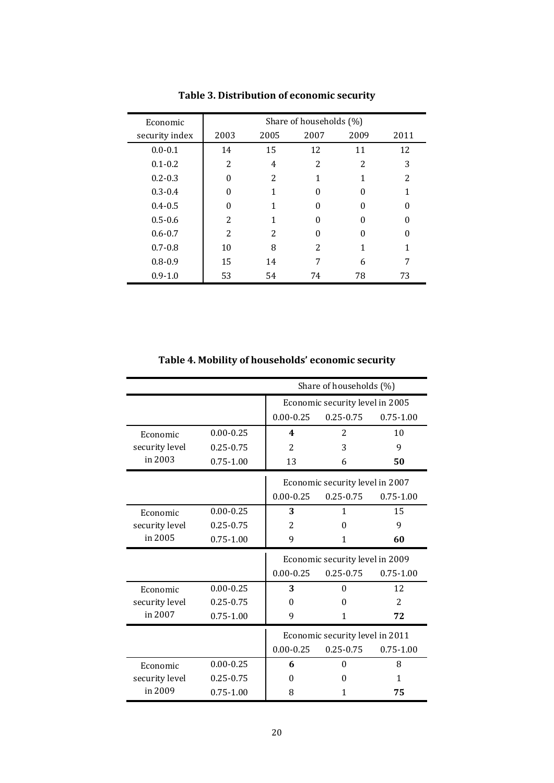| Economic       | Share of households (%) |      |      |              |      |
|----------------|-------------------------|------|------|--------------|------|
| security index | 2003                    | 2005 | 2007 | 2009         | 2011 |
| $0.0 - 0.1$    | 14                      | 15   | 12   | 11           | 12   |
| $0.1 - 0.2$    | 2                       | 4    | 2    | 2            | 3    |
| $0.2 - 0.3$    | 0                       | 2    |      |              | 2    |
| $0.3 - 0.4$    | 0                       |      | O    | $\mathbf{0}$ |      |
| $0.4 - 0.5$    |                         |      |      | $\mathbf{0}$ |      |
| $0.5 - 0.6$    | 2                       |      |      | $\mathbf{0}$ |      |
| $0.6 - 0.7$    | 2                       | 2    |      | $\mathbf{0}$ |      |
| $0.7 - 0.8$    | 10                      | 8    | 2    |              |      |
| $0.8 - 0.9$    | 15                      | 14   | 7    | 6            |      |
| $0.9 - 1.0$    | 53                      | 54   | 74   | 78           | 73   |

# **Table 3. Distribution of economic security**

**Table 4. Mobility of households' economic security**

|                           |               | Share of households (%)         |               |                |
|---------------------------|---------------|---------------------------------|---------------|----------------|
|                           |               | Economic security level in 2005 |               |                |
|                           |               | $0.00 - 0.25$                   | $0.25 - 0.75$ | $0.75 - 1.00$  |
| Economic                  | $0.00 - 0.25$ | 4                               | 2             | 10             |
| security level<br>in 2003 | $0.25 - 0.75$ | $\overline{2}$                  | 3             | 9              |
|                           | $0.75 - 1.00$ | 13                              | 6             | 50             |
|                           |               | Economic security level in 2007 |               |                |
|                           |               | $0.00 - 0.25$                   | $0.25 - 0.75$ | $0.75 - 1.00$  |
| Economic                  | $0.00 - 0.25$ | 3                               | $\mathbf{1}$  | 15             |
| security level            | $0.25 - 0.75$ | 2                               | $\Omega$      | 9              |
| in 2005                   | $0.75 - 1.00$ | 9                               | 1             | 60             |
|                           |               | Economic security level in 2009 |               |                |
|                           |               | $0.00 - 0.25$                   | $0.25 - 0.75$ | $0.75 - 1.00$  |
| Economic                  | $0.00 - 0.25$ | 3                               | $\Omega$      | 12             |
| security level            | $0.25 - 0.75$ | $\Omega$                        | $\Omega$      | $\overline{2}$ |
| in 2007                   | $0.75 - 1.00$ | 9                               | 1             | 72             |
|                           |               | Economic security level in 2011 |               |                |
|                           |               | $0.00 - 0.25$                   | $0.25 - 0.75$ | $0.75 - 1.00$  |
| Economic                  | $0.00 - 0.25$ | 6                               | $\Omega$      | 8              |
| security level            | $0.25 - 0.75$ | 0                               | $\Omega$      | 1              |
| in 2009                   | $0.75 - 1.00$ | 8                               | 1             | 75             |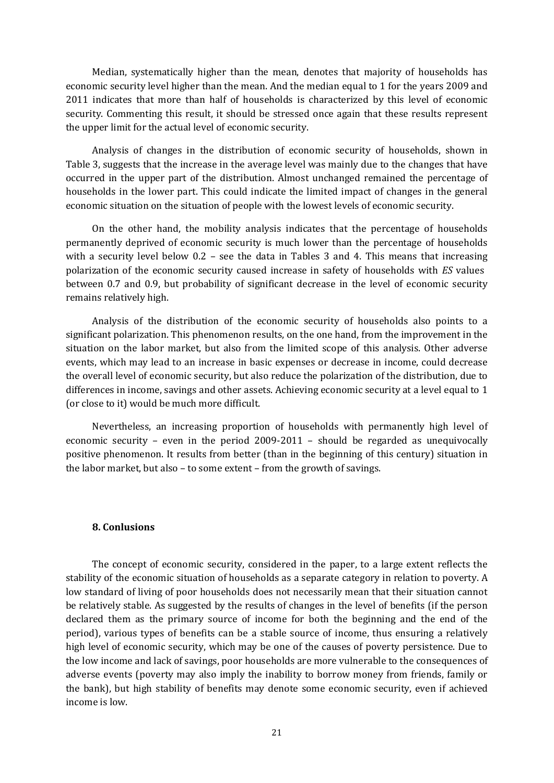Median, systematically higher than the mean, denotes that majority of households has economic security level higher than the mean. And the median equal to 1 for the years 2009 and 2011 indicates that more than half of households is characterized by this level of economic security. Commenting this result, it should be stressed once again that these results represent the upper limit for the actual level of economic security.

Analysis of changes in the distribution of economic security of households, shown in Table 3, suggests that the increase in the average level was mainly due to the changes that have occurred in the upper part of the distribution. Almost unchanged remained the percentage of households in the lower part. This could indicate the limited impact of changes in the general economic situation on the situation of people with the lowest levels of economic security.

On the other hand, the mobility analysis indicates that the percentage of households permanently deprived of economic security is much lower than the percentage of households with a security level below 0.2 – see the data in Tables 3 and 4. This means that increasing polarization of the economic security caused increase in safety of households with *ES* values between 0.7 and 0.9, but probability of significant decrease in the level of economic security remains relatively high.

Analysis of the distribution of the economic security of households also points to a significant polarization. This phenomenon results, on the one hand, from the improvement in the situation on the labor market, but also from the limited scope of this analysis. Other adverse events, which may lead to an increase in basic expenses or decrease in income, could decrease the overall level of economic security, but also reduce the polarization of the distribution, due to differences in income, savings and other assets. Achieving economic security at a level equal to 1 (or close to it) would be much more difficult.

Nevertheless, an increasing proportion of households with permanently high level of economic security – even in the period 2009-2011 – should be regarded as unequivocally positive phenomenon. It results from better (than in the beginning of this century) situation in the labor market, but also – to some extent – from the growth of savings.

#### **8. Conlusions**

The concept of economic security, considered in the paper, to a large extent reflects the stability of the economic situation of households as a separate category in relation to poverty. A low standard of living of poor households does not necessarily mean that their situation cannot be relatively stable. As suggested by the results of changes in the level of benefits (if the person declared them as the primary source of income for both the beginning and the end of the period), various types of benefits can be a stable source of income, thus ensuring a relatively high level of economic security, which may be one of the causes of poverty persistence. Due to the low income and lack of savings, poor households are more vulnerable to the consequences of adverse events (poverty may also imply the inability to borrow money from friends, family or the bank), but high stability of benefits may denote some economic security, even if achieved income is low.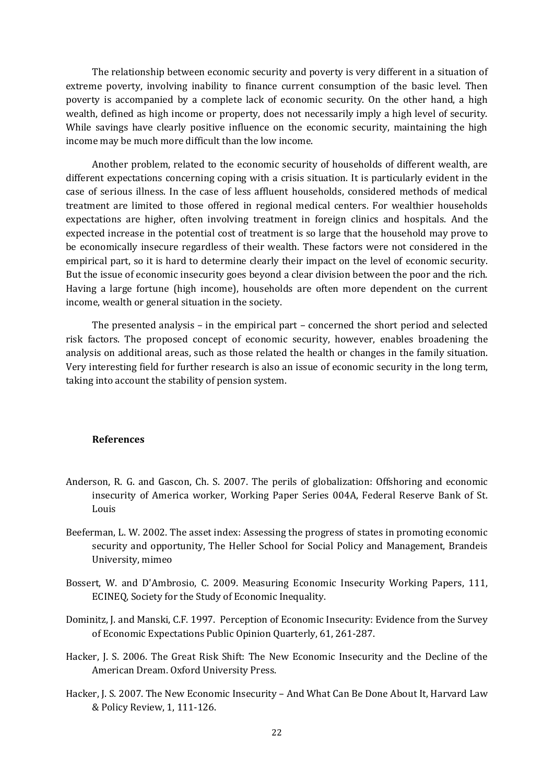The relationship between economic security and poverty is very different in a situation of extreme poverty, involving inability to finance current consumption of the basic level. Then poverty is accompanied by a complete lack of economic security. On the other hand, a high wealth, defined as high income or property, does not necessarily imply a high level of security. While savings have clearly positive influence on the economic security, maintaining the high income may be much more difficult than the low income.

Another problem, related to the economic security of households of different wealth, are different expectations concerning coping with a crisis situation. It is particularly evident in the case of serious illness. In the case of less affluent households, considered methods of medical treatment are limited to those offered in regional medical centers. For wealthier households expectations are higher, often involving treatment in foreign clinics and hospitals. And the expected increase in the potential cost of treatment is so large that the household may prove to be economically insecure regardless of their wealth. These factors were not considered in the empirical part, so it is hard to determine clearly their impact on the level of economic security. But the issue of economic insecurity goes beyond a clear division between the poor and the rich. Having a large fortune (high income), households are often more dependent on the current income, wealth or general situation in the society.

The presented analysis – in the empirical part – concerned the short period and selected risk factors. The proposed concept of economic security, however, enables broadening the analysis on additional areas, such as those related the health or changes in the family situation. Very interesting field for further research is also an issue of economic security in the long term, taking into account the stability of pension system.

# **References**

- Anderson, R. G. and Gascon, Ch. S. 2007. The perils of globalization: Offshoring and economic insecurity of America worker, Working Paper Series 004A, Federal Reserve Bank of St. Louis
- Beeferman, L. W. 2002. The asset index: Assessing the progress of states in promoting economic security and opportunity, The Heller School for Social Policy and Management, Brandeis University, mimeo
- Bossert, W. and D'Ambrosio, C. 2009. Measuring Economic Insecurity Working Papers, 111, ECINEQ, Society for the Study of Economic Inequality.
- Dominitz, J. and Manski, C.F. 1997. Perception of Economic Insecurity: Evidence from the Survey of Economic Expectations Public Opinion Quarterly, 61, 261-287.
- Hacker, J. S. 2006. The Great Risk Shift: The New Economic Insecurity and the Decline of the American Dream. Oxford University Press.
- Hacker, J. S. 2007. The New Economic Insecurity And What Can Be Done About It, Harvard Law & Policy Review, 1, 111-126.